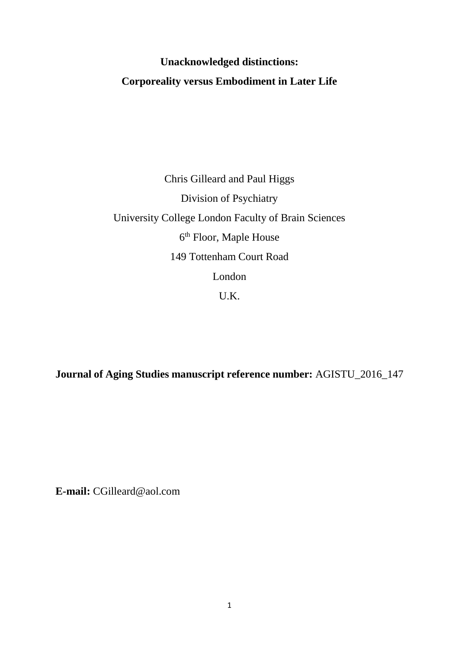## **Unacknowledged distinctions: Corporeality versus Embodiment in Later Life**

# Chris Gilleard and Paul Higgs Division of Psychiatry University College London Faculty of Brain Sciences 6<sup>th</sup> Floor, Maple House 149 Tottenham Court Road London U.K.

**Journal of Aging Studies manuscript reference number:** AGISTU\_2016\_147

**E-mail:** CGilleard@aol.com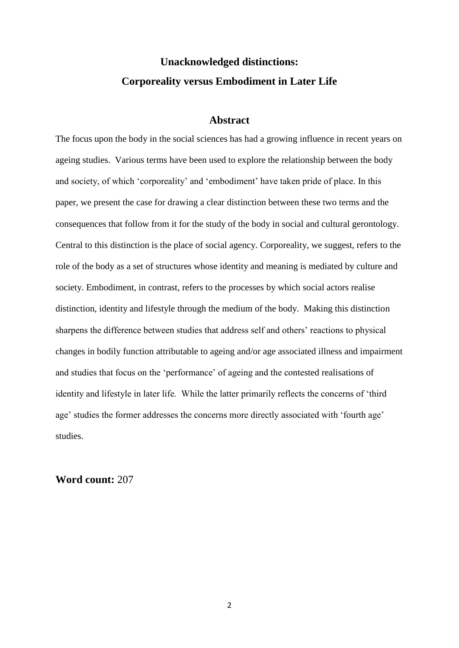### **Unacknowledged distinctions: Corporeality versus Embodiment in Later Life**

#### **Abstract**

The focus upon the body in the social sciences has had a growing influence in recent years on ageing studies. Various terms have been used to explore the relationship between the body and society, of which 'corporeality' and 'embodiment' have taken pride of place. In this paper, we present the case for drawing a clear distinction between these two terms and the consequences that follow from it for the study of the body in social and cultural gerontology. Central to this distinction is the place of social agency. Corporeality, we suggest, refers to the role of the body as a set of structures whose identity and meaning is mediated by culture and society. Embodiment, in contrast, refers to the processes by which social actors realise distinction, identity and lifestyle through the medium of the body. Making this distinction sharpens the difference between studies that address self and others' reactions to physical changes in bodily function attributable to ageing and/or age associated illness and impairment and studies that focus on the 'performance' of ageing and the contested realisations of identity and lifestyle in later life. While the latter primarily reflects the concerns of 'third age' studies the former addresses the concerns more directly associated with 'fourth age' studies.

#### **Word count:** 207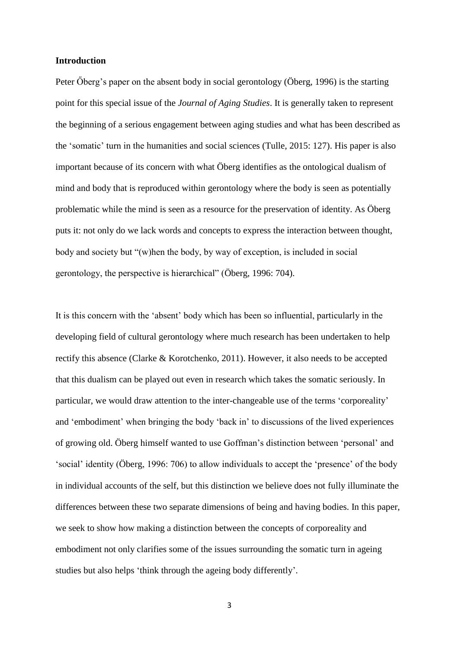#### **Introduction**

Peter Őberg's paper on the absent body in social gerontology (Öberg, 1996) is the starting point for this special issue of the *Journal of Aging Studies*. It is generally taken to represent the beginning of a serious engagement between aging studies and what has been described as the 'somatic' turn in the humanities and social sciences (Tulle, 2015: 127). His paper is also important because of its concern with what Öberg identifies as the ontological dualism of mind and body that is reproduced within gerontology where the body is seen as potentially problematic while the mind is seen as a resource for the preservation of identity. As Öberg puts it: not only do we lack words and concepts to express the interaction between thought, body and society but "(w)hen the body, by way of exception, is included in social gerontology, the perspective is hierarchical" (Öberg, 1996: 704).

It is this concern with the 'absent' body which has been so influential, particularly in the developing field of cultural gerontology where much research has been undertaken to help rectify this absence (Clarke & Korotchenko, 2011). However, it also needs to be accepted that this dualism can be played out even in research which takes the somatic seriously. In particular, we would draw attention to the inter-changeable use of the terms 'corporeality' and 'embodiment' when bringing the body 'back in' to discussions of the lived experiences of growing old. Öberg himself wanted to use Goffman's distinction between 'personal' and 'social' identity (Öberg, 1996: 706) to allow individuals to accept the 'presence' of the body in individual accounts of the self, but this distinction we believe does not fully illuminate the differences between these two separate dimensions of being and having bodies. In this paper, we seek to show how making a distinction between the concepts of corporeality and embodiment not only clarifies some of the issues surrounding the somatic turn in ageing studies but also helps 'think through the ageing body differently'.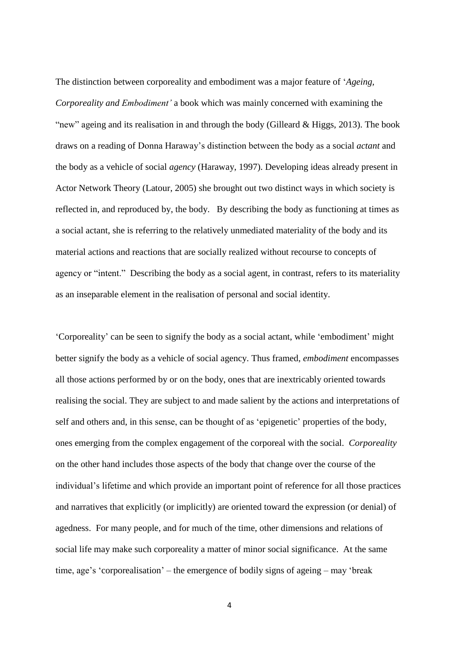The distinction between corporeality and embodiment was a major feature of '*Ageing, Corporeality and Embodiment'* a book which was mainly concerned with examining the "new" ageing and its realisation in and through the body (Gilleard & Higgs, 2013). The book draws on a reading of Donna Haraway's distinction between the body as a social *actant* and the body as a vehicle of social *agency* (Haraway, 1997). Developing ideas already present in Actor Network Theory (Latour, 2005) she brought out two distinct ways in which society is reflected in, and reproduced by, the body. By describing the body as functioning at times as a social actant, she is referring to the relatively unmediated materiality of the body and its material actions and reactions that are socially realized without recourse to concepts of agency or "intent." Describing the body as a social agent, in contrast, refers to its materiality as an inseparable element in the realisation of personal and social identity.

'Corporeality' can be seen to signify the body as a social actant, while 'embodiment' might better signify the body as a vehicle of social agency. Thus framed, *embodiment* encompasses all those actions performed by or on the body, ones that are inextricably oriented towards realising the social. They are subject to and made salient by the actions and interpretations of self and others and, in this sense, can be thought of as 'epigenetic' properties of the body, ones emerging from the complex engagement of the corporeal with the social. *Corporeality* on the other hand includes those aspects of the body that change over the course of the individual's lifetime and which provide an important point of reference for all those practices and narratives that explicitly (or implicitly) are oriented toward the expression (or denial) of agedness. For many people, and for much of the time, other dimensions and relations of social life may make such corporeality a matter of minor social significance. At the same time, age's 'corporealisation' – the emergence of bodily signs of ageing – may 'break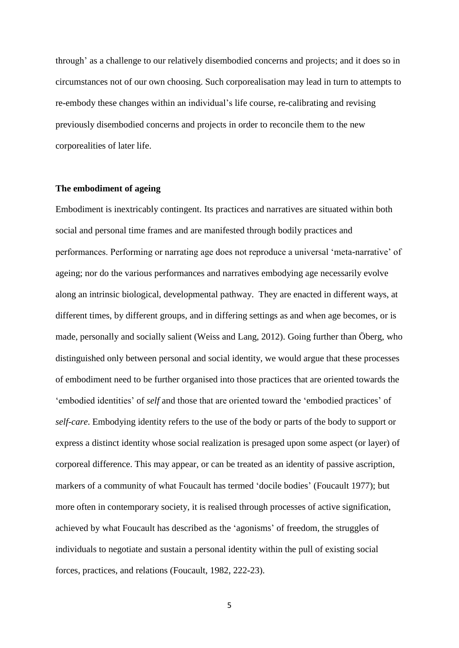through' as a challenge to our relatively disembodied concerns and projects; and it does so in circumstances not of our own choosing. Such corporealisation may lead in turn to attempts to re-embody these changes within an individual's life course, re-calibrating and revising previously disembodied concerns and projects in order to reconcile them to the new corporealities of later life.

#### **The embodiment of ageing**

Embodiment is inextricably contingent. Its practices and narratives are situated within both social and personal time frames and are manifested through bodily practices and performances. Performing or narrating age does not reproduce a universal 'meta-narrative' of ageing; nor do the various performances and narratives embodying age necessarily evolve along an intrinsic biological, developmental pathway. They are enacted in different ways, at different times, by different groups, and in differing settings as and when age becomes, or is made, personally and socially salient (Weiss and Lang, 2012). Going further than Öberg, who distinguished only between personal and social identity, we would argue that these processes of embodiment need to be further organised into those practices that are oriented towards the 'embodied identities' of *self* and those that are oriented toward the 'embodied practices' of *self-care*. Embodying identity refers to the use of the body or parts of the body to support or express a distinct identity whose social realization is presaged upon some aspect (or layer) of corporeal difference. This may appear, or can be treated as an identity of passive ascription, markers of a community of what Foucault has termed 'docile bodies' (Foucault 1977); but more often in contemporary society, it is realised through processes of active signification, achieved by what Foucault has described as the 'agonisms' of freedom, the struggles of individuals to negotiate and sustain a personal identity within the pull of existing social forces, practices, and relations (Foucault, 1982, 222-23).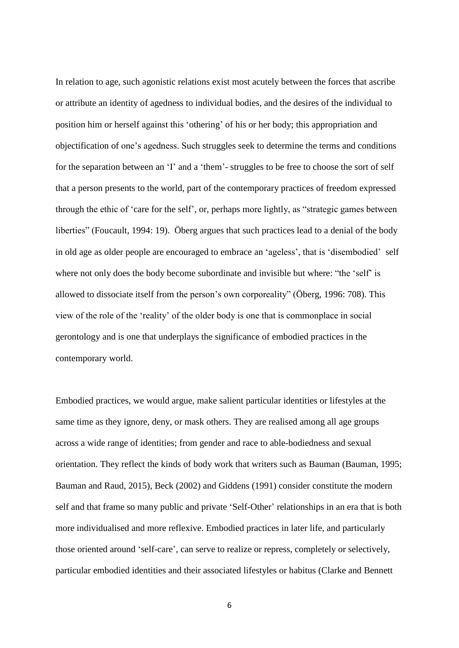In relation to age, such agonistic relations exist most acutely between the forces that ascribe or attribute an identity of agedness to individual bodies, and the desires of the individual to position him or herself against this 'othering' of his or her body; this appropriation and objectification of one's agedness. Such struggles seek to determine the terms and conditions for the separation between an 'I' and a 'them'- struggles to be free to choose the sort of self that a person presents to the world, part of the contemporary practices of freedom expressed through the ethic of 'care for the self', or, perhaps more lightly, as "strategic games between liberties" (Foucault, 1994: 19). Öberg argues that such practices lead to a denial of the body in old age as older people are encouraged to embrace an 'ageless', that is 'disembodied' self where not only does the body become subordinate and invisible but where: "the 'self' is allowed to dissociate itself from the person's own corporeality" (Öberg, 1996: 708). This view of the role of the 'reality' of the older body is one that is commonplace in social gerontology and is one that underplays the significance of embodied practices in the contemporary world.

Embodied practices, we would argue, make salient particular identities or lifestyles at the same time as they ignore, deny, or mask others. They are realised among all age groups across a wide range of identities; from gender and race to able-bodiedness and sexual orientation. They reflect the kinds of body work that writers such as Bauman (Bauman, 1995; Bauman and Raud, 2015), Beck (2002) and Giddens (1991) consider constitute the modern self and that frame so many public and private 'Self-Other' relationships in an era that is both more individualised and more reflexive. Embodied practices in later life, and particularly those oriented around 'self-care', can serve to realize or repress, completely or selectively, particular embodied identities and their associated lifestyles or habitus (Clarke and Bennett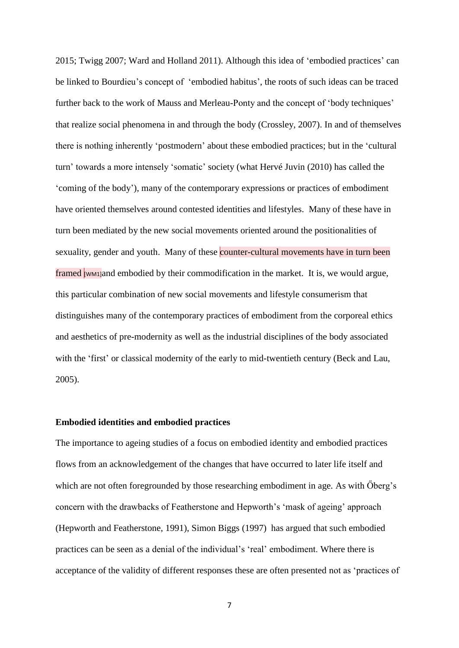2015; Twigg 2007; Ward and Holland 2011). Although this idea of 'embodied practices' can be linked to Bourdieu's concept of 'embodied habitus', the roots of such ideas can be traced further back to the work of Mauss and Merleau-Ponty and the concept of 'body techniques' that realize social phenomena in and through the body (Crossley, 2007). In and of themselves there is nothing inherently 'postmodern' about these embodied practices; but in the 'cultural turn' towards a more intensely 'somatic' society (what Hervé Juvin (2010) has called the 'coming of the body'), many of the contemporary expressions or practices of embodiment have oriented themselves around contested identities and lifestyles. Many of these have in turn been mediated by the new social movements oriented around the positionalities of sexuality, gender and youth. Many of these counter-cultural movements have in turn been framed [WM1]and embodied by their commodification in the market. It is, we would argue, this particular combination of new social movements and lifestyle consumerism that distinguishes many of the contemporary practices of embodiment from the corporeal ethics and aesthetics of pre-modernity as well as the industrial disciplines of the body associated with the 'first' or classical modernity of the early to mid-twentieth century (Beck and Lau, 2005).

#### **Embodied identities and embodied practices**

The importance to ageing studies of a focus on embodied identity and embodied practices flows from an acknowledgement of the changes that have occurred to later life itself and which are not often foregrounded by those researching embodiment in age. As with Öberg's concern with the drawbacks of Featherstone and Hepworth's 'mask of ageing' approach (Hepworth and Featherstone, 1991), Simon Biggs (1997) has argued that such embodied practices can be seen as a denial of the individual's 'real' embodiment. Where there is acceptance of the validity of different responses these are often presented not as 'practices of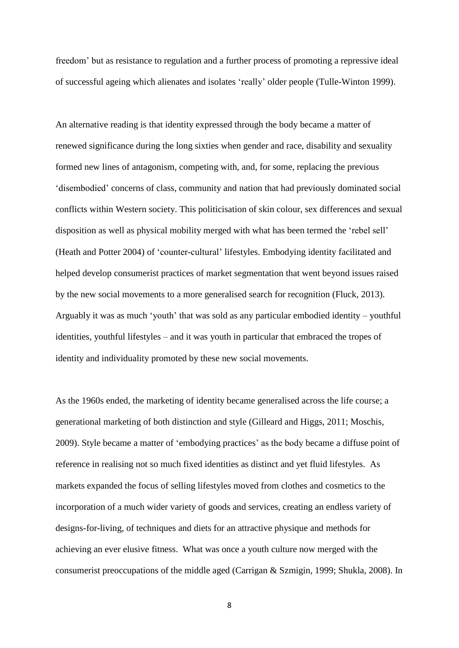freedom' but as resistance to regulation and a further process of promoting a repressive ideal of successful ageing which alienates and isolates 'really' older people (Tulle-Winton 1999).

An alternative reading is that identity expressed through the body became a matter of renewed significance during the long sixties when gender and race, disability and sexuality formed new lines of antagonism, competing with, and, for some, replacing the previous 'disembodied' concerns of class, community and nation that had previously dominated social conflicts within Western society. This politicisation of skin colour, sex differences and sexual disposition as well as physical mobility merged with what has been termed the 'rebel sell' (Heath and Potter 2004) of 'counter-cultural' lifestyles. Embodying identity facilitated and helped develop consumerist practices of market segmentation that went beyond issues raised by the new social movements to a more generalised search for recognition (Fluck, 2013). Arguably it was as much 'youth' that was sold as any particular embodied identity – youthful identities, youthful lifestyles – and it was youth in particular that embraced the tropes of identity and individuality promoted by these new social movements.

As the 1960s ended, the marketing of identity became generalised across the life course; a generational marketing of both distinction and style (Gilleard and Higgs, 2011; Moschis, 2009). Style became a matter of 'embodying practices' as the body became a diffuse point of reference in realising not so much fixed identities as distinct and yet fluid lifestyles. As markets expanded the focus of selling lifestyles moved from clothes and cosmetics to the incorporation of a much wider variety of goods and services, creating an endless variety of designs-for-living, of techniques and diets for an attractive physique and methods for achieving an ever elusive fitness. What was once a youth culture now merged with the consumerist preoccupations of the middle aged (Carrigan & Szmigin, 1999; Shukla, 2008). In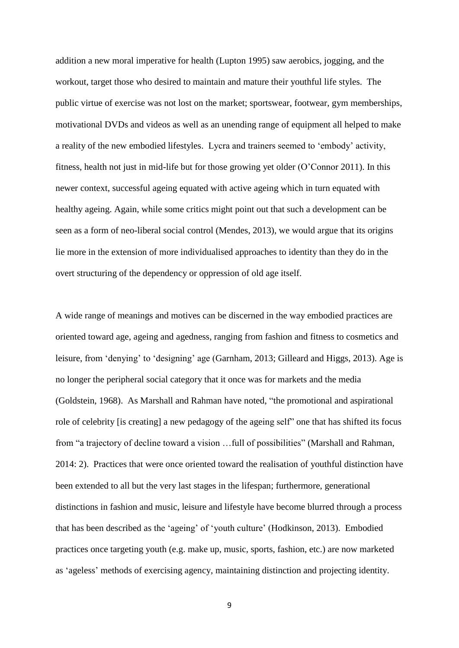addition a new moral imperative for health (Lupton 1995) saw aerobics, jogging, and the workout, target those who desired to maintain and mature their youthful life styles. The public virtue of exercise was not lost on the market; sportswear, footwear, gym memberships, motivational DVDs and videos as well as an unending range of equipment all helped to make a reality of the new embodied lifestyles. Lycra and trainers seemed to 'embody' activity, fitness, health not just in mid-life but for those growing yet older (O'Connor 2011). In this newer context, successful ageing equated with active ageing which in turn equated with healthy ageing. Again, while some critics might point out that such a development can be seen as a form of neo-liberal social control (Mendes, 2013), we would argue that its origins lie more in the extension of more individualised approaches to identity than they do in the overt structuring of the dependency or oppression of old age itself.

A wide range of meanings and motives can be discerned in the way embodied practices are oriented toward age, ageing and agedness, ranging from fashion and fitness to cosmetics and leisure, from 'denying' to 'designing' age (Garnham, 2013; Gilleard and Higgs, 2013). Age is no longer the peripheral social category that it once was for markets and the media (Goldstein, 1968). As Marshall and Rahman have noted, "the promotional and aspirational role of celebrity [is creating] a new pedagogy of the ageing self" one that has shifted its focus from "a trajectory of decline toward a vision …full of possibilities" (Marshall and Rahman, 2014: 2). Practices that were once oriented toward the realisation of youthful distinction have been extended to all but the very last stages in the lifespan; furthermore, generational distinctions in fashion and music, leisure and lifestyle have become blurred through a process that has been described as the 'ageing' of 'youth culture' (Hodkinson, 2013). Embodied practices once targeting youth (e.g. make up, music, sports, fashion, etc.) are now marketed as 'ageless' methods of exercising agency, maintaining distinction and projecting identity.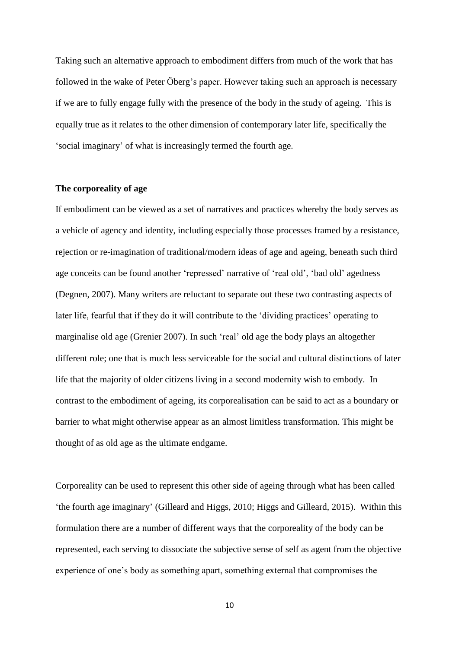Taking such an alternative approach to embodiment differs from much of the work that has followed in the wake of Peter Öberg's paper. However taking such an approach is necessary if we are to fully engage fully with the presence of the body in the study of ageing. This is equally true as it relates to the other dimension of contemporary later life, specifically the 'social imaginary' of what is increasingly termed the fourth age.

#### **The corporeality of age**

If embodiment can be viewed as a set of narratives and practices whereby the body serves as a vehicle of agency and identity, including especially those processes framed by a resistance, rejection or re-imagination of traditional/modern ideas of age and ageing, beneath such third age conceits can be found another 'repressed' narrative of 'real old', 'bad old' agedness (Degnen, 2007). Many writers are reluctant to separate out these two contrasting aspects of later life, fearful that if they do it will contribute to the 'dividing practices' operating to marginalise old age (Grenier 2007). In such 'real' old age the body plays an altogether different role; one that is much less serviceable for the social and cultural distinctions of later life that the majority of older citizens living in a second modernity wish to embody. In contrast to the embodiment of ageing, its corporealisation can be said to act as a boundary or barrier to what might otherwise appear as an almost limitless transformation. This might be thought of as old age as the ultimate endgame.

Corporeality can be used to represent this other side of ageing through what has been called 'the fourth age imaginary' (Gilleard and Higgs, 2010; Higgs and Gilleard, 2015). Within this formulation there are a number of different ways that the corporeality of the body can be represented, each serving to dissociate the subjective sense of self as agent from the objective experience of one's body as something apart, something external that compromises the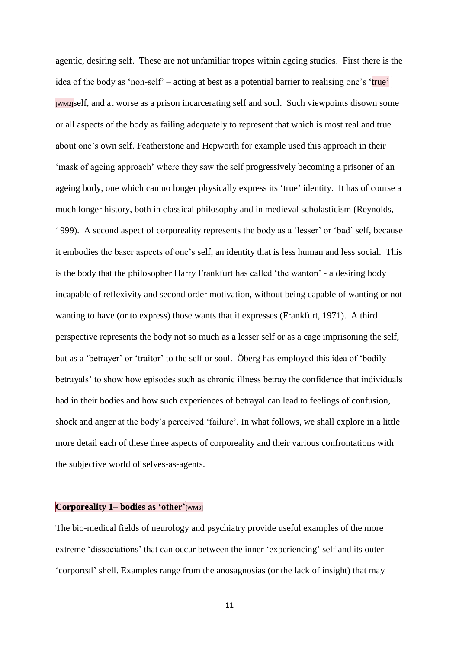agentic, desiring self. These are not unfamiliar tropes within ageing studies. First there is the idea of the body as 'non-self' – acting at best as a potential barrier to realising one's 'true' [WM2]self, and at worse as a prison incarcerating self and soul. Such viewpoints disown some or all aspects of the body as failing adequately to represent that which is most real and true about one's own self. Featherstone and Hepworth for example used this approach in their 'mask of ageing approach' where they saw the self progressively becoming a prisoner of an ageing body, one which can no longer physically express its 'true' identity. It has of course a much longer history, both in classical philosophy and in medieval scholasticism (Reynolds, 1999). A second aspect of corporeality represents the body as a 'lesser' or 'bad' self, because it embodies the baser aspects of one's self, an identity that is less human and less social. This is the body that the philosopher Harry Frankfurt has called 'the wanton' - a desiring body incapable of reflexivity and second order motivation, without being capable of wanting or not wanting to have (or to express) those wants that it expresses (Frankfurt, 1971). A third perspective represents the body not so much as a lesser self or as a cage imprisoning the self, but as a 'betrayer' or 'traitor' to the self or soul. Öberg has employed this idea of 'bodily betrayals' to show how episodes such as chronic illness betray the confidence that individuals had in their bodies and how such experiences of betrayal can lead to feelings of confusion, shock and anger at the body's perceived 'failure'. In what follows, we shall explore in a little more detail each of these three aspects of corporeality and their various confrontations with the subjective world of selves-as-agents.

#### **Corporeality 1– bodies as 'other'**[WM3]

The bio-medical fields of neurology and psychiatry provide useful examples of the more extreme 'dissociations' that can occur between the inner 'experiencing' self and its outer 'corporeal' shell. Examples range from the anosagnosias (or the lack of insight) that may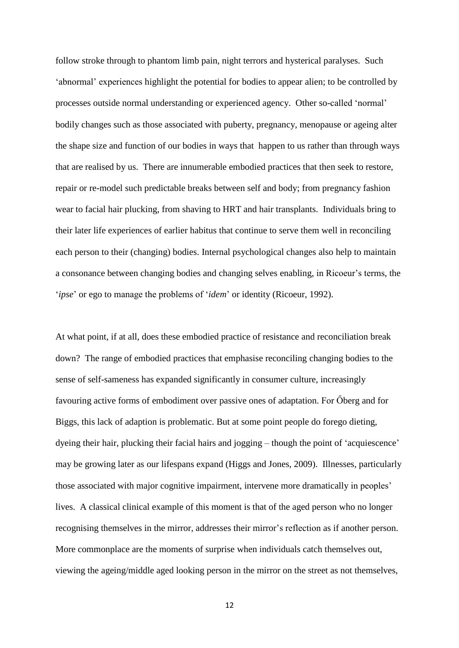follow stroke through to phantom limb pain, night terrors and hysterical paralyses. Such 'abnormal' experiences highlight the potential for bodies to appear alien; to be controlled by processes outside normal understanding or experienced agency. Other so-called 'normal' bodily changes such as those associated with puberty, pregnancy, menopause or ageing alter the shape size and function of our bodies in ways that happen to us rather than through ways that are realised by us. There are innumerable embodied practices that then seek to restore, repair or re-model such predictable breaks between self and body; from pregnancy fashion wear to facial hair plucking, from shaving to HRT and hair transplants. Individuals bring to their later life experiences of earlier habitus that continue to serve them well in reconciling each person to their (changing) bodies. Internal psychological changes also help to maintain a consonance between changing bodies and changing selves enabling, in Ricoeur's terms, the '*ipse*' or ego to manage the problems of '*idem*' or identity (Ricoeur, 1992).

At what point, if at all, does these embodied practice of resistance and reconciliation break down? The range of embodied practices that emphasise reconciling changing bodies to the sense of self-sameness has expanded significantly in consumer culture, increasingly favouring active forms of embodiment over passive ones of adaptation. For Őberg and for Biggs, this lack of adaption is problematic. But at some point people do forego dieting, dyeing their hair, plucking their facial hairs and jogging – though the point of 'acquiescence' may be growing later as our lifespans expand (Higgs and Jones, 2009). Illnesses, particularly those associated with major cognitive impairment, intervene more dramatically in peoples' lives. A classical clinical example of this moment is that of the aged person who no longer recognising themselves in the mirror, addresses their mirror's reflection as if another person. More commonplace are the moments of surprise when individuals catch themselves out, viewing the ageing/middle aged looking person in the mirror on the street as not themselves,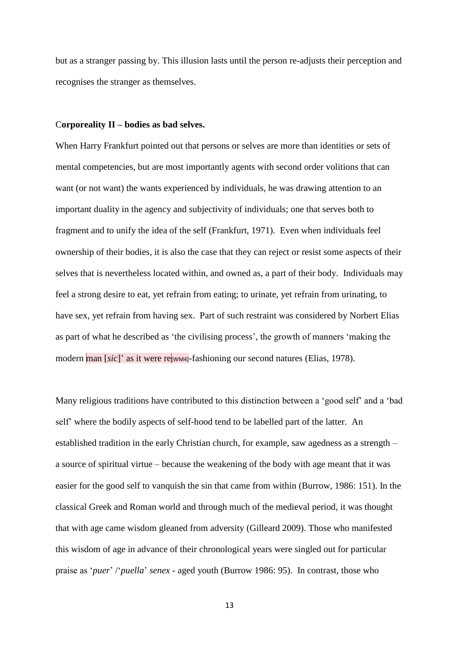but as a stranger passing by. This illusion lasts until the person re-adjusts their perception and recognises the stranger as themselves.

#### C**orporeality II – bodies as bad selves.**

When Harry Frankfurt pointed out that persons or selves are more than identities or sets of mental competencies, but are most importantly agents with second order volitions that can want (or not want) the wants experienced by individuals, he was drawing attention to an important duality in the agency and subjectivity of individuals; one that serves both to fragment and to unify the idea of the self (Frankfurt, 1971). Even when individuals feel ownership of their bodies, it is also the case that they can reject or resist some aspects of their selves that is nevertheless located within, and owned as, a part of their body. Individuals may feel a strong desire to eat, yet refrain from eating; to urinate, yet refrain from urinating, to have sex, yet refrain from having sex. Part of such restraint was considered by Norbert Elias as part of what he described as 'the civilising process', the growth of manners 'making the modern man [*sic*]' as it were re<sup>[WM4]</sup>-fashioning our second natures (Elias, 1978).

Many religious traditions have contributed to this distinction between a 'good self' and a 'bad self' where the bodily aspects of self-hood tend to be labelled part of the latter. An established tradition in the early Christian church, for example, saw agedness as a strength – a source of spiritual virtue – because the weakening of the body with age meant that it was easier for the good self to vanquish the sin that came from within (Burrow, 1986: 151). In the classical Greek and Roman world and through much of the medieval period, it was thought that with age came wisdom gleaned from adversity (Gilleard 2009). Those who manifested this wisdom of age in advance of their chronological years were singled out for particular praise as '*puer*' /'*puella*' *senex* - aged youth (Burrow 1986: 95). In contrast, those who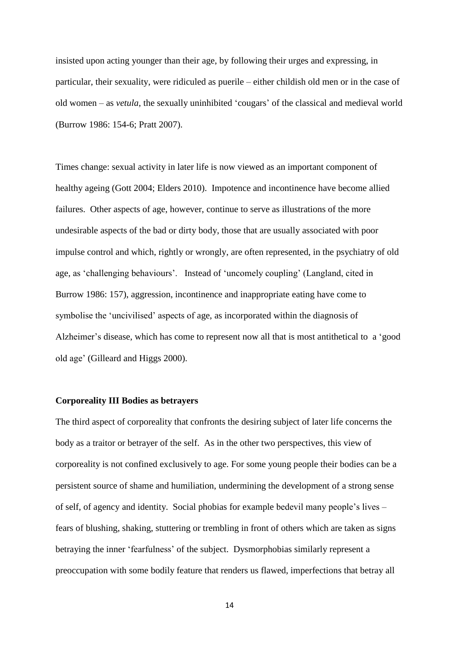insisted upon acting younger than their age, by following their urges and expressing, in particular, their sexuality, were ridiculed as puerile – either childish old men or in the case of old women – as *vetula*, the sexually uninhibited 'cougars' of the classical and medieval world (Burrow 1986: 154-6; Pratt 2007).

Times change: sexual activity in later life is now viewed as an important component of healthy ageing (Gott 2004; Elders 2010). Impotence and incontinence have become allied failures. Other aspects of age, however, continue to serve as illustrations of the more undesirable aspects of the bad or dirty body, those that are usually associated with poor impulse control and which, rightly or wrongly, are often represented, in the psychiatry of old age, as 'challenging behaviours'. Instead of 'uncomely coupling' (Langland, cited in Burrow 1986: 157), aggression, incontinence and inappropriate eating have come to symbolise the 'uncivilised' aspects of age, as incorporated within the diagnosis of Alzheimer's disease, which has come to represent now all that is most antithetical to a 'good old age' (Gilleard and Higgs 2000).

#### **Corporeality III Bodies as betrayers**

The third aspect of corporeality that confronts the desiring subject of later life concerns the body as a traitor or betrayer of the self. As in the other two perspectives, this view of corporeality is not confined exclusively to age. For some young people their bodies can be a persistent source of shame and humiliation, undermining the development of a strong sense of self, of agency and identity. Social phobias for example bedevil many people's lives – fears of blushing, shaking, stuttering or trembling in front of others which are taken as signs betraying the inner 'fearfulness' of the subject. Dysmorphobias similarly represent a preoccupation with some bodily feature that renders us flawed, imperfections that betray all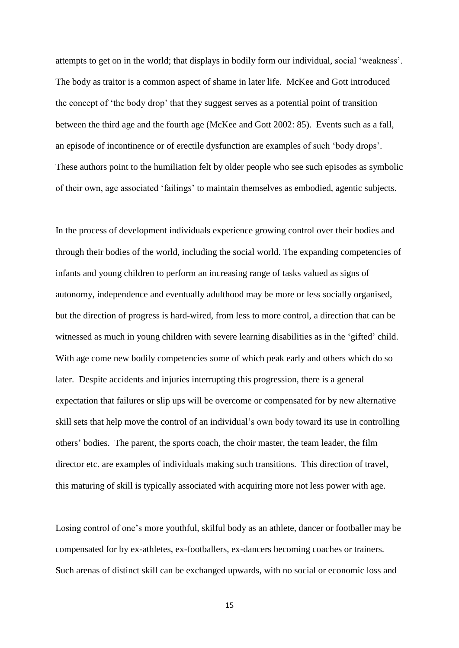attempts to get on in the world; that displays in bodily form our individual, social 'weakness'. The body as traitor is a common aspect of shame in later life. McKee and Gott introduced the concept of 'the body drop' that they suggest serves as a potential point of transition between the third age and the fourth age (McKee and Gott 2002: 85). Events such as a fall, an episode of incontinence or of erectile dysfunction are examples of such 'body drops'. These authors point to the humiliation felt by older people who see such episodes as symbolic of their own, age associated 'failings' to maintain themselves as embodied, agentic subjects.

In the process of development individuals experience growing control over their bodies and through their bodies of the world, including the social world. The expanding competencies of infants and young children to perform an increasing range of tasks valued as signs of autonomy, independence and eventually adulthood may be more or less socially organised, but the direction of progress is hard-wired, from less to more control, a direction that can be witnessed as much in young children with severe learning disabilities as in the 'gifted' child. With age come new bodily competencies some of which peak early and others which do so later. Despite accidents and injuries interrupting this progression, there is a general expectation that failures or slip ups will be overcome or compensated for by new alternative skill sets that help move the control of an individual's own body toward its use in controlling others' bodies. The parent, the sports coach, the choir master, the team leader, the film director etc. are examples of individuals making such transitions. This direction of travel, this maturing of skill is typically associated with acquiring more not less power with age.

Losing control of one's more youthful, skilful body as an athlete, dancer or footballer may be compensated for by ex-athletes, ex-footballers, ex-dancers becoming coaches or trainers. Such arenas of distinct skill can be exchanged upwards, with no social or economic loss and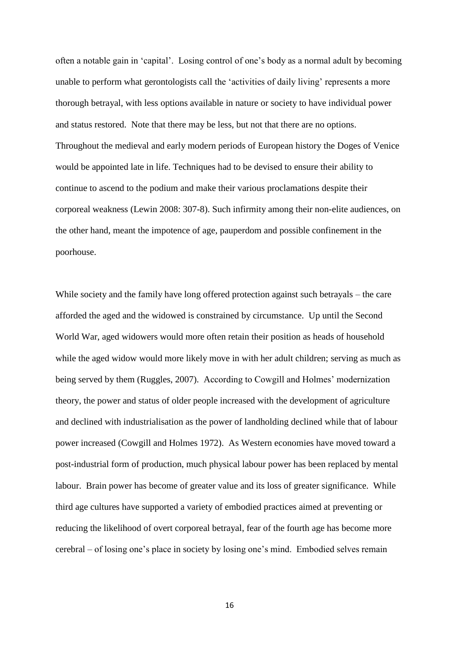often a notable gain in 'capital'. Losing control of one's body as a normal adult by becoming unable to perform what gerontologists call the 'activities of daily living' represents a more thorough betrayal, with less options available in nature or society to have individual power and status restored. Note that there may be less, but not that there are no options. Throughout the medieval and early modern periods of European history the Doges of Venice would be appointed late in life. Techniques had to be devised to ensure their ability to continue to ascend to the podium and make their various proclamations despite their corporeal weakness (Lewin 2008: 307-8). Such infirmity among their non-elite audiences, on the other hand, meant the impotence of age, pauperdom and possible confinement in the poorhouse.

While society and the family have long offered protection against such betrayals – the care afforded the aged and the widowed is constrained by circumstance. Up until the Second World War, aged widowers would more often retain their position as heads of household while the aged widow would more likely move in with her adult children; serving as much as being served by them (Ruggles, 2007). According to Cowgill and Holmes' modernization theory, the power and status of older people increased with the development of agriculture and declined with industrialisation as the power of landholding declined while that of labour power increased (Cowgill and Holmes 1972). As Western economies have moved toward a post-industrial form of production, much physical labour power has been replaced by mental labour. Brain power has become of greater value and its loss of greater significance. While third age cultures have supported a variety of embodied practices aimed at preventing or reducing the likelihood of overt corporeal betrayal, fear of the fourth age has become more cerebral – of losing one's place in society by losing one's mind. Embodied selves remain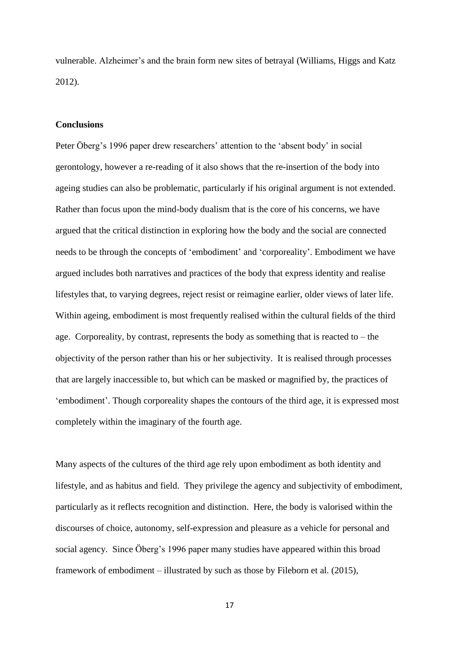vulnerable. Alzheimer's and the brain form new sites of betrayal (Williams, Higgs and Katz 2012).

#### **Conclusions**

Peter Öberg's 1996 paper drew researchers' attention to the 'absent body' in social gerontology, however a re-reading of it also shows that the re-insertion of the body into ageing studies can also be problematic, particularly if his original argument is not extended. Rather than focus upon the mind-body dualism that is the core of his concerns, we have argued that the critical distinction in exploring how the body and the social are connected needs to be through the concepts of 'embodiment' and 'corporeality'. Embodiment we have argued includes both narratives and practices of the body that express identity and realise lifestyles that, to varying degrees, reject resist or reimagine earlier, older views of later life. Within ageing, embodiment is most frequently realised within the cultural fields of the third age. Corporeality, by contrast, represents the body as something that is reacted to – the objectivity of the person rather than his or her subjectivity. It is realised through processes that are largely inaccessible to, but which can be masked or magnified by, the practices of 'embodiment'. Though corporeality shapes the contours of the third age, it is expressed most completely within the imaginary of the fourth age.

Many aspects of the cultures of the third age rely upon embodiment as both identity and lifestyle, and as habitus and field. They privilege the agency and subjectivity of embodiment, particularly as it reflects recognition and distinction. Here, the body is valorised within the discourses of choice, autonomy, self-expression and pleasure as a vehicle for personal and social agency. Since Öberg's 1996 paper many studies have appeared within this broad framework of embodiment – illustrated by such as those by Fileborn et al. (2015),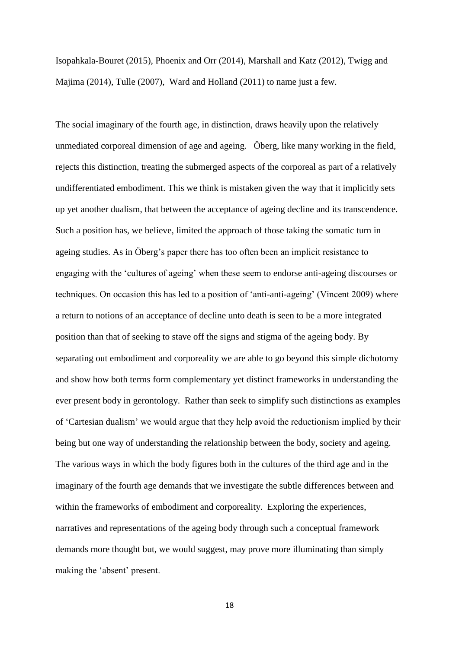Isopahkala-Bouret (2015), Phoenix and Orr (2014), Marshall and Katz (2012), Twigg and Majima (2014), Tulle (2007), Ward and Holland (2011) to name just a few.

The social imaginary of the fourth age, in distinction, draws heavily upon the relatively unmediated corporeal dimension of age and ageing. Öberg, like many working in the field, rejects this distinction, treating the submerged aspects of the corporeal as part of a relatively undifferentiated embodiment. This we think is mistaken given the way that it implicitly sets up yet another dualism, that between the acceptance of ageing decline and its transcendence. Such a position has, we believe, limited the approach of those taking the somatic turn in ageing studies. As in Öberg's paper there has too often been an implicit resistance to engaging with the 'cultures of ageing' when these seem to endorse anti-ageing discourses or techniques. On occasion this has led to a position of 'anti-anti-ageing' (Vincent 2009) where a return to notions of an acceptance of decline unto death is seen to be a more integrated position than that of seeking to stave off the signs and stigma of the ageing body. By separating out embodiment and corporeality we are able to go beyond this simple dichotomy and show how both terms form complementary yet distinct frameworks in understanding the ever present body in gerontology. Rather than seek to simplify such distinctions as examples of 'Cartesian dualism' we would argue that they help avoid the reductionism implied by their being but one way of understanding the relationship between the body, society and ageing. The various ways in which the body figures both in the cultures of the third age and in the imaginary of the fourth age demands that we investigate the subtle differences between and within the frameworks of embodiment and corporeality. Exploring the experiences, narratives and representations of the ageing body through such a conceptual framework demands more thought but, we would suggest, may prove more illuminating than simply making the 'absent' present.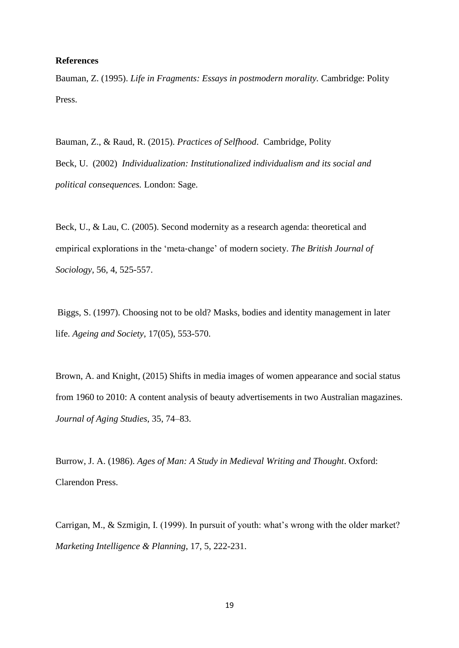#### **References**

Bauman, Z. (1995). *Life in Fragments: Essays in postmodern morality.* Cambridge: Polity Press.

Bauman, Z., & Raud, R. (2015). *Practices of Selfhood*. Cambridge, Polity Beck, U. (2002) *Individualization: Institutionalized individualism and its social and political consequences.* London: Sage.

Beck, U., & Lau, C. (2005). Second modernity as a research agenda: theoretical and empirical explorations in the 'meta‐change' of modern society. *The British Journal of Sociology*, 56, 4, 525-557.

Biggs, S. (1997). Choosing not to be old? Masks, bodies and identity management in later life. *Ageing and Society*, 17(05), 553-570.

Brown, A. and Knight, (2015) Shifts in media images of women appearance and social status from 1960 to 2010: A content analysis of beauty advertisements in two Australian magazines. *Journal of Aging Studies*, 35, 74–83.

Burrow, J. A. (1986). *Ages of Man: A Study in Medieval Writing and Thought*. Oxford: Clarendon Press.

Carrigan, M., & Szmigin, I. (1999). In pursuit of youth: what's wrong with the older market? *Marketing Intelligence & Planning*, 17, 5, 222-231.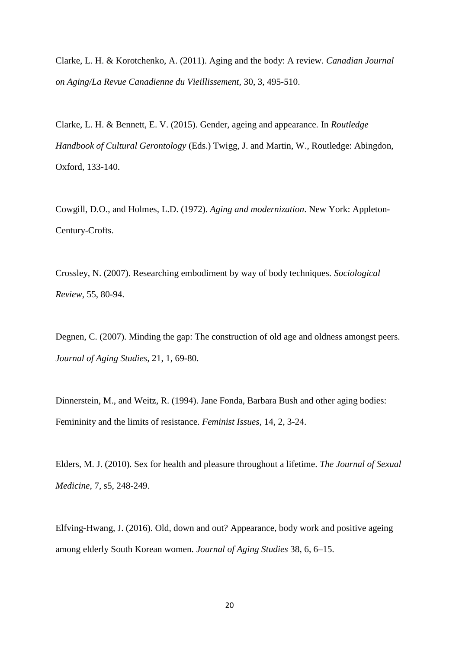Clarke, L. H. & Korotchenko, A. (2011). Aging and the body: A review. *Canadian Journal on Aging/La Revue Canadienne du Vieillissement,* 30, 3, 495-510.

Clarke, L. H. & Bennett, E. V. (2015). Gender, ageing and appearance. In *Routledge Handbook of Cultural Gerontology* (Eds.) Twigg, J. and Martin, W., Routledge: Abingdon, Oxford, 133-140.

Cowgill, D.O., and Holmes, L.D. (1972). *Aging and modernization*. New York: Appleton-Century-Crofts.

Crossley, N. (2007). Researching embodiment by way of body techniques. *Sociological Review*, 55, 80-94.

Degnen, C. (2007). Minding the gap: The construction of old age and oldness amongst peers. *Journal of Aging Studies*, 21, 1, 69-80.

Dinnerstein, M., and Weitz, R. (1994). Jane Fonda, Barbara Bush and other aging bodies: Femininity and the limits of resistance. *Feminist Issues*, 14, 2, 3-24.

Elders, M. J. (2010). Sex for health and pleasure throughout a lifetime. *The Journal of Sexual Medicine*, 7, s5, 248-249.

Elfving-Hwang, J. (2016). Old, down and out? Appearance, body work and positive ageing among elderly South Korean women. *Journal of Aging Studies* 38, 6, 6–15.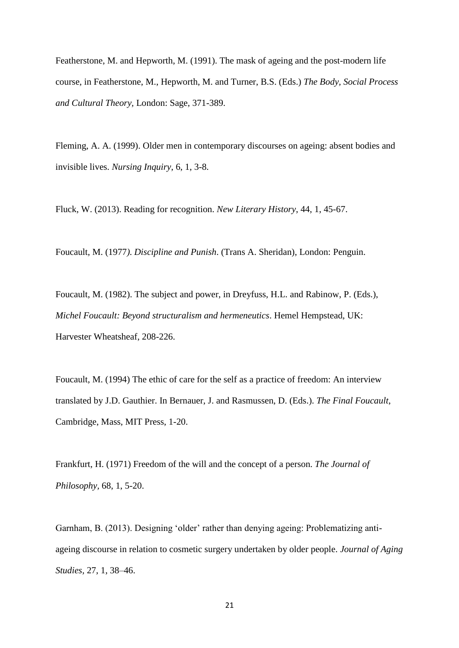Featherstone, M. and Hepworth, M. (1991). The mask of ageing and the post-modern life course, in Featherstone, M., Hepworth, M. and Turner, B.S. (Eds.) *The Body, Social Process and Cultural Theory,* London: Sage, 371-389.

Fleming, A. A. (1999). Older men in contemporary discourses on ageing: absent bodies and invisible lives. *Nursing Inquiry*, 6, 1, 3-8.

Fluck, W. (2013). Reading for recognition. *New Literary History*, 44, 1, 45-67.

Foucault, M. (1977*). Discipline and Punish*. (Trans A. Sheridan), London: Penguin.

Foucault, M. (1982). The subject and power, in Dreyfuss, H.L. and Rabinow, P. (Eds.), *Michel Foucault: Beyond structuralism and hermeneutics*. Hemel Hempstead, UK: Harvester Wheatsheaf, 208-226.

Foucault, M. (1994) The ethic of care for the self as a practice of freedom: An interview translated by J.D. Gauthier. In Bernauer, J. and Rasmussen, D. (Eds.). *The Final Foucault*, Cambridge, Mass, MIT Press, 1-20.

Frankfurt, H. (1971) Freedom of the will and the concept of a person. *The Journal of Philosophy,* 68, 1, 5-20.

Garnham, B. (2013). Designing 'older' rather than denying ageing: Problematizing antiageing discourse in relation to cosmetic surgery undertaken by older people. *Journal of Aging Studies,* 27, 1, 38–46.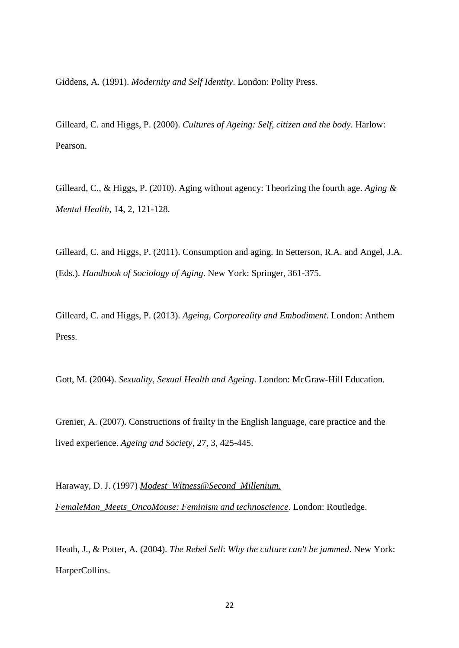Giddens, A. (1991). *Modernity and Self Identity*. London: Polity Press.

Gilleard, C. and Higgs, P. (2000). *Cultures of Ageing: Self, citizen and the body*. Harlow: Pearson.

Gilleard, C., & Higgs, P. (2010). Aging without agency: Theorizing the fourth age. *Aging & Mental Health*, 14, 2, 121-128.

Gilleard, C. and Higgs, P. (2011). Consumption and aging. In Setterson, R.A. and Angel, J.A. (Eds.). *Handbook of Sociology of Aging*. New York: Springer, 361-375.

Gilleard, C. and Higgs, P. (2013). *Ageing, Corporeality and Embodiment*. London: Anthem Press.

Gott, M. (2004). *Sexuality, Sexual Health and Ageing*. London: McGraw-Hill Education.

Grenier, A. (2007). Constructions of frailty in the English language, care practice and the lived experience. *Ageing and Society*, 27, 3, 425-445.

Haraway, D. J. (1997) *Modest\_Witness@Second\_Millenium. FemaleMan\_Meets\_OncoMouse: Feminism and technoscience*. London: Routledge.

Heath, J., & Potter, A. (2004). *The Rebel Sell*: *Why the culture can't be jammed*. New York: HarperCollins.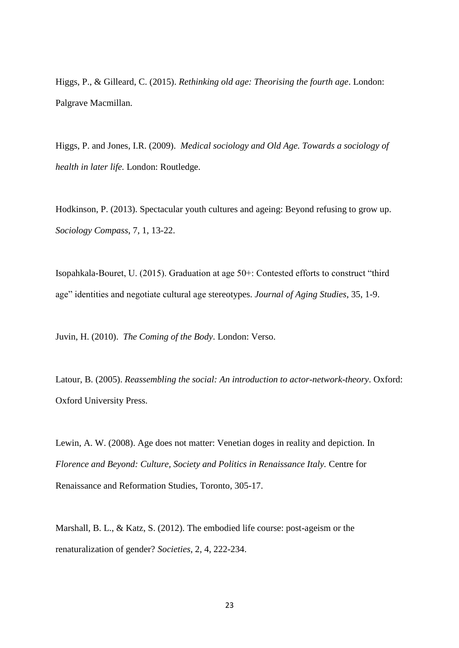Higgs, P., & Gilleard, C. (2015). *Rethinking old age: Theorising the fourth age*. London: Palgrave Macmillan.

Higgs, P. and Jones, I.R. (2009). *Medical sociology and Old Age. Towards a sociology of health in later life.* London: Routledge.

Hodkinson, P. (2013). Spectacular youth cultures and ageing: Beyond refusing to grow up. *Sociology Compass*, 7, 1, 13-22.

Isopahkala-Bouret, U. (2015). Graduation at age 50+: Contested efforts to construct "third age" identities and negotiate cultural age stereotypes. *Journal of Aging Studies*, 35, 1-9.

Juvin, H. (2010). *The Coming of the Body*. London: Verso.

Latour, B. (2005). *Reassembling the social: An introduction to actor-network-theory*. Oxford: Oxford University Press.

Lewin, A. W. (2008). Age does not matter: Venetian doges in reality and depiction. In *Florence and Beyond: Culture, Society and Politics in Renaissance Italy.* Centre for Renaissance and Reformation Studies, Toronto, 305-17.

Marshall, B. L., & Katz, S. (2012). The embodied life course: post-ageism or the renaturalization of gender? *Societies*, 2, 4, 222-234.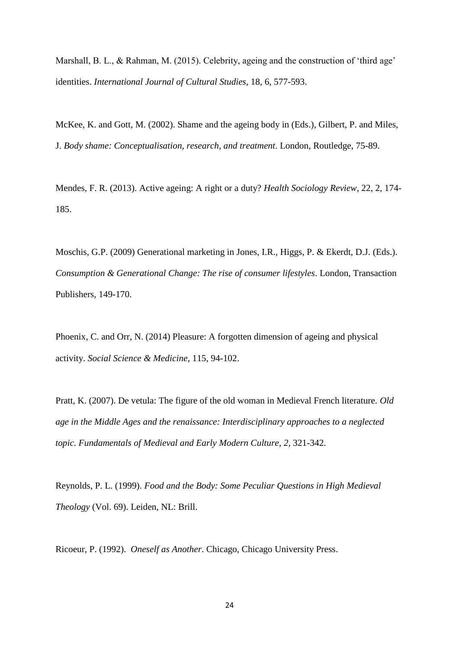Marshall, B. L., & Rahman, M. (2015). Celebrity, ageing and the construction of 'third age' identities. *International Journal of Cultural Studies*, 18, 6, 577-593.

McKee, K. and Gott, M. (2002). Shame and the ageing body in (Eds.), Gilbert, P. and Miles, J. *Body shame: Conceptualisation, research, and treatment*. London, Routledge, 75-89.

Mendes, F. R. (2013). Active ageing: A right or a duty? *Health Sociology Review*, 22, 2, 174- 185.

Moschis, G.P. (2009) Generational marketing in Jones, I.R., Higgs, P. & Ekerdt, D.J. (Eds.). *Consumption & Generational Change: The rise of consumer lifestyles*. London, Transaction Publishers, 149-170.

Phoenix, C. and Orr, N. (2014) Pleasure: A forgotten dimension of ageing and physical activity. *Social Science & Medicine*, 115, 94-102.

Pratt, K. (2007). De vetula: The figure of the old woman in Medieval French literature. *Old age in the Middle Ages and the renaissance: Interdisciplinary approaches to a neglected topic. Fundamentals of Medieval and Early Modern Culture*, *2*, 321-342.

Reynolds, P. L. (1999). *Food and the Body: Some Peculiar Questions in High Medieval Theology* (Vol. 69). Leiden, NL: Brill.

Ricoeur, P. (1992). *Oneself as Another*. Chicago, Chicago University Press.